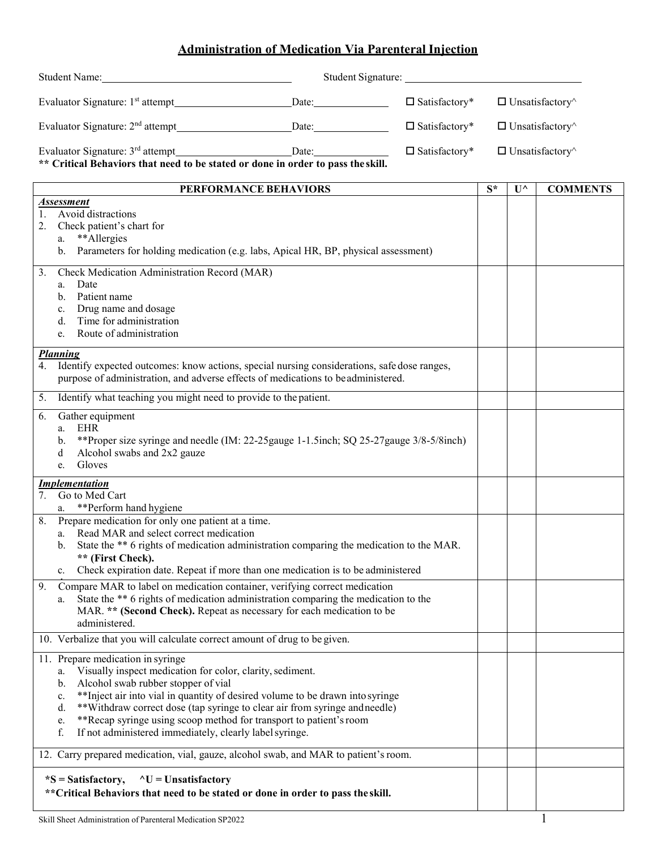## **Administration of Medication Via Parenteral Injection**

|                                                                                                                                                                                                                   | Student Name: Name and Student Name and Student Name and Student Name and Student Name and Student Name and Student Name and Student Name and Student Name and Student Name and Student Name and Student Name and Student Name    |                                                                                                                                                                                                                                           |                               |                               |                               |                 |
|-------------------------------------------------------------------------------------------------------------------------------------------------------------------------------------------------------------------|-----------------------------------------------------------------------------------------------------------------------------------------------------------------------------------------------------------------------------------|-------------------------------------------------------------------------------------------------------------------------------------------------------------------------------------------------------------------------------------------|-------------------------------|-------------------------------|-------------------------------|-----------------|
|                                                                                                                                                                                                                   |                                                                                                                                                                                                                                   |                                                                                                                                                                                                                                           | $\square$ Satisfactory*       |                               | $\Box$ Unsatisfactory $\land$ |                 |
| Evaluator Signature: 2 <sup>nd</sup> attempt_______________________________Date:__________________                                                                                                                |                                                                                                                                                                                                                                   | $\square$ Satisfactory*                                                                                                                                                                                                                   | $\Box$ Unsatisfactory $\land$ |                               |                               |                 |
| Evaluator Signature: 3 <sup>rd</sup> attempt________________________________Date:_________________<br>$\square$ Satisfactory*<br>** Critical Behaviors that need to be stated or done in order to pass the skill. |                                                                                                                                                                                                                                   |                                                                                                                                                                                                                                           |                               | $\Box$ Unsatisfactory $\land$ |                               |                 |
|                                                                                                                                                                                                                   |                                                                                                                                                                                                                                   | PERFORMANCE BEHAVIORS                                                                                                                                                                                                                     |                               | $S^*$                         | $\mathbf{U}^{\wedge}$         | <b>COMMENTS</b> |
| <b>Assessment</b><br>1. Avoid distractions<br>Check patient's chart for<br>2.<br>**Allergies<br>a.<br>b. Parameters for holding medication (e.g. labs, Apical HR, BP, physical assessment)                        |                                                                                                                                                                                                                                   |                                                                                                                                                                                                                                           |                               |                               |                               |                 |
| 3.<br>Date<br>a.<br>Patient name<br>b.<br>Drug name and dosage<br>c.<br>Time for administration<br>d.<br>Route of administration<br>e.                                                                            | Check Medication Administration Record (MAR)                                                                                                                                                                                      |                                                                                                                                                                                                                                           |                               |                               |                               |                 |
| <b>Planning</b><br>4. Identify expected outcomes: know actions, special nursing considerations, safe dose ranges,<br>purpose of administration, and adverse effects of medications to be administered.            |                                                                                                                                                                                                                                   |                                                                                                                                                                                                                                           |                               |                               |                               |                 |
|                                                                                                                                                                                                                   | 5. Identify what teaching you might need to provide to the patient.                                                                                                                                                               |                                                                                                                                                                                                                                           |                               |                               |                               |                 |
| 6.<br>Gather equipment<br>EHR<br>a.<br>b.<br>d<br>Gloves<br>e.                                                                                                                                                    | Alcohol swabs and 2x2 gauze                                                                                                                                                                                                       | **Proper size syringe and needle (IM: 22-25 gauge 1-1.5 inch; SQ 25-27 gauge 3/8-5/8 inch)                                                                                                                                                |                               |                               |                               |                 |
| <i>Implementation</i>                                                                                                                                                                                             |                                                                                                                                                                                                                                   |                                                                                                                                                                                                                                           |                               |                               |                               |                 |
| Go to Med Cart<br>7.<br>a. ** Perform hand hygiene                                                                                                                                                                |                                                                                                                                                                                                                                   |                                                                                                                                                                                                                                           |                               |                               |                               |                 |
| 8.<br>$a_{-}$<br>b.<br>** (First Check).<br>c.                                                                                                                                                                    | Prepare medication for only one patient at a time.<br>Read MAR and select correct medication                                                                                                                                      | State the ** 6 rights of medication administration comparing the medication to the MAR.<br>Check expiration date. Repeat if more than one medication is to be administered                                                                |                               |                               |                               |                 |
| 9.<br>a.<br>administered.                                                                                                                                                                                         |                                                                                                                                                                                                                                   | Compare MAR to label on medication container, verifying correct medication<br>State the ** 6 rights of medication administration comparing the medication to the<br>MAR. ** (Second Check). Repeat as necessary for each medication to be |                               |                               |                               |                 |
|                                                                                                                                                                                                                   | 10. Verbalize that you will calculate correct amount of drug to be given.                                                                                                                                                         |                                                                                                                                                                                                                                           |                               |                               |                               |                 |
| 11. Prepare medication in syringe<br>a.<br>b.<br>c.<br>d.<br>e.<br>f.                                                                                                                                             | Visually inspect medication for color, clarity, sediment.<br>Alcohol swab rubber stopper of vial<br>**Recap syringe using scoop method for transport to patient's room<br>If not administered immediately, clearly label syringe. | ** Inject air into vial in quantity of desired volume to be drawn into syringe<br>**Withdraw correct dose (tap syringe to clear air from syringe and needle)                                                                              |                               |                               |                               |                 |
| 12. Carry prepared medication, vial, gauze, alcohol swab, and MAR to patient's room.                                                                                                                              |                                                                                                                                                                                                                                   |                                                                                                                                                                                                                                           |                               |                               |                               |                 |
| $*S = Satisfactory,$                                                                                                                                                                                              | $\wedge U =$ Unsatisfactory                                                                                                                                                                                                       | ** Critical Behaviors that need to be stated or done in order to pass the skill.                                                                                                                                                          |                               |                               |                               |                 |